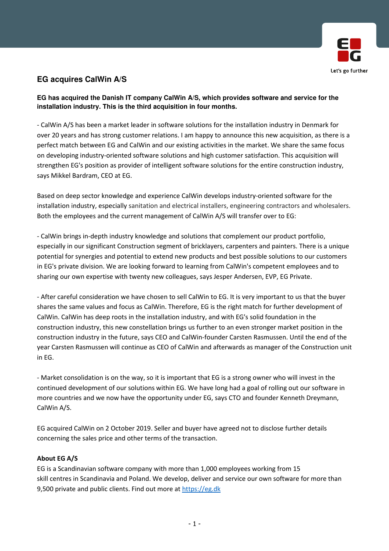

## **EG acquires CalWin A/S**

**EG has acquired the Danish IT company CalWin A/S, which provides software and service for the installation industry. This is the third acquisition in four months.**

- CalWin A/S has been a market leader in software solutions for the installation industry in Denmark for over 20 years and has strong customer relations. I am happy to announce this new acquisition, as there is a perfect match between EG and CalWin and our existing activities in the market. We share the same focus on developing industry-oriented software solutions and high customer satisfaction. This acquisition will strengthen EG's position as provider of intelligent software solutions for the entire construction industry, says Mikkel Bardram, CEO at EG.

Based on deep sector knowledge and experience CalWin develops industry-oriented software for the installation industry, especially sanitation and electrical installers, engineering contractors and wholesalers. Both the employees and the current management of CalWin A/S will transfer over to EG:

- CalWin brings in-depth industry knowledge and solutions that complement our product portfolio, especially in our significant Construction segment of bricklayers, carpenters and painters. There is a unique potential for synergies and potential to extend new products and best possible solutions to our customers in EG's private division. We are looking forward to learning from CalWin's competent employees and to sharing our own expertise with twenty new colleagues, says Jesper Andersen, EVP, EG Private.

- After careful consideration we have chosen to sell CalWin to EG. It is very important to us that the buyer shares the same values and focus as CalWin. Therefore, EG is the right match for further development of CalWin. CalWin has deep roots in the installation industry, and with EG's solid foundation in the construction industry, this new constellation brings us further to an even stronger market position in the construction industry in the future, says CEO and CalWin-founder Carsten Rasmussen. Until the end of the year Carsten Rasmussen will continue as CEO of CalWin and afterwards as manager of the Construction unit in EG.

- Market consolidation is on the way, so it is important that EG is a strong owner who will invest in the continued development of our solutions within EG. We have long had a goal of rolling out our software in more countries and we now have the opportunity under EG, says CTO and founder Kenneth Dreymann, CalWin A/S.

EG acquired CalWin on 2 October 2019. Seller and buyer have agreed not to disclose further details concerning the sales price and other terms of the transaction.

## About EG A/S

EG is a Scandinavian software company with more than 1,000 employees working from 15 skill centres in Scandinavia and Poland. We develop, deliver and service our own software for more than 9,500 private and public clients. Find out more at https://eg.dk